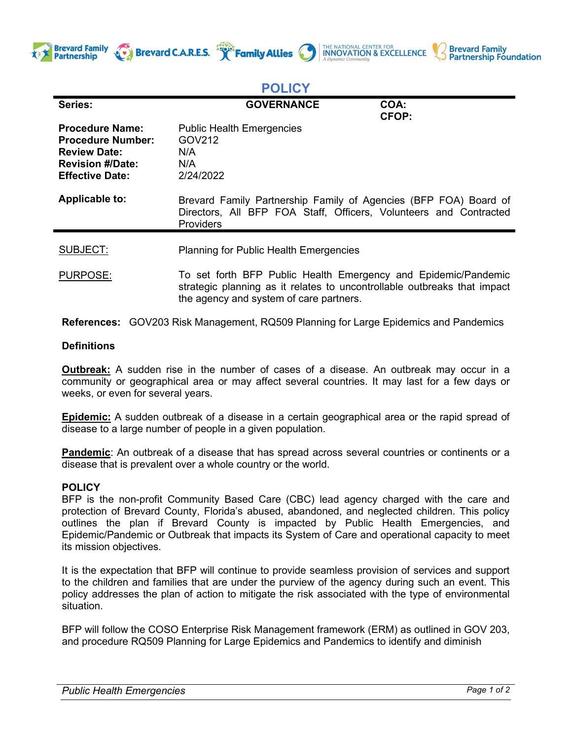





## **POLICY**

| Series:                                                                                                                        | <b>GOVERNANCE</b>                                                                                                                                                                     | COA:<br><b>CFOP:</b> |
|--------------------------------------------------------------------------------------------------------------------------------|---------------------------------------------------------------------------------------------------------------------------------------------------------------------------------------|----------------------|
| <b>Procedure Name:</b><br><b>Procedure Number:</b><br><b>Review Date:</b><br><b>Revision #/Date:</b><br><b>Effective Date:</b> | <b>Public Health Emergencies</b><br>GOV212<br>N/A<br>N/A<br>2/24/2022                                                                                                                 |                      |
| <b>Applicable to:</b>                                                                                                          | Brevard Family Partnership Family of Agencies (BFP FOA) Board of<br>Directors, All BFP FOA Staff, Officers, Volunteers and Contracted<br><b>Providers</b>                             |                      |
| SUBJECT:                                                                                                                       | <b>Planning for Public Health Emergencies</b>                                                                                                                                         |                      |
| <b>PURPOSE:</b>                                                                                                                | To set forth BFP Public Health Emergency and Epidemic/Pandemic<br>strategic planning as it relates to uncontrollable outbreaks that impact<br>the agency and system of care partners. |                      |

**References:** GOV203 Risk Management, RQ509 Planning for Large Epidemics and Pandemics

## **Definitions**

**Outbreak:** A sudden rise in the number of cases of a disease. An outbreak may occur in a community or geographical area or may affect several countries. It may last for a few days or weeks, or even for several years.

**Epidemic:** A sudden outbreak of a disease in a certain geographical area or the rapid spread of disease to a large number of people in a given population.

**Pandemic**: An outbreak of a disease that has spread across several countries or continents or a disease that is prevalent over a whole country or the world.

## **POLICY**

BFP is the non-profit Community Based Care (CBC) lead agency charged with the care and protection of Brevard County, Florida's abused, abandoned, and neglected children. This policy outlines the plan if Brevard County is impacted by Public Health Emergencies, and Epidemic/Pandemic or Outbreak that impacts its System of Care and operational capacity to meet its mission objectives.

It is the expectation that BFP will continue to provide seamless provision of services and support to the children and families that are under the purview of the agency during such an event. This policy addresses the plan of action to mitigate the risk associated with the type of environmental situation.

BFP will follow the COSO Enterprise Risk Management framework (ERM) as outlined in GOV 203, and procedure RQ509 Planning for Large Epidemics and Pandemics to identify and diminish